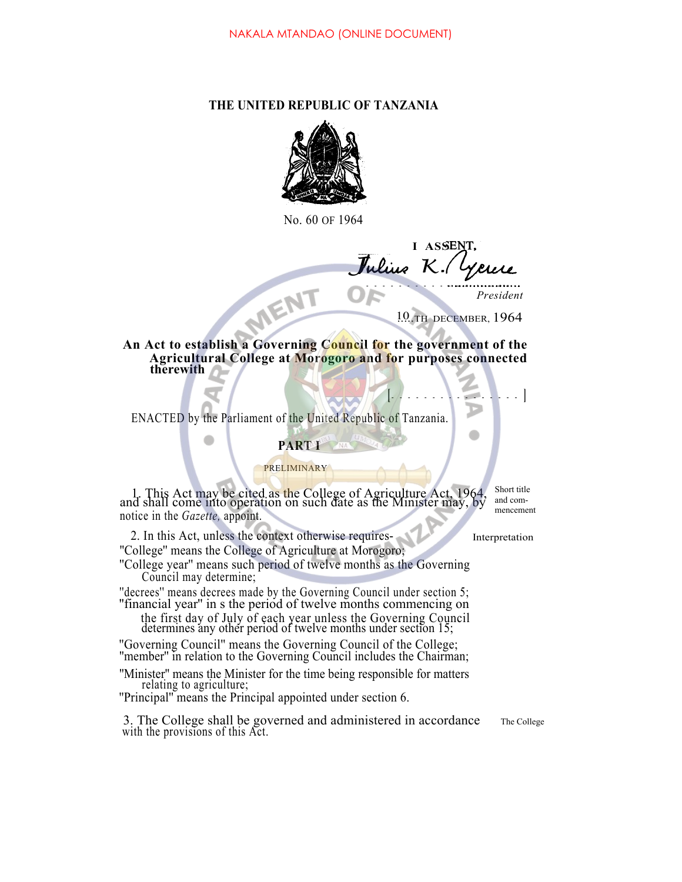# **THE UNITED REPUBLIC OF TANZANIA**



No. 60 OF 1964

**I ASSE** *J K.* MENT

*President*

10.TH DECEMBER, 1964

**[ ]**

D

**An Act to establish a Governing Council for the government of the Agricultural College at Morogoro and for purposes connected therewith**

ENACTED by the Parliament of the United Republic of Tanzania.

# **PART I**

### PRELIMINARY

1. This Act may be cited as the College of Agriculture Act, 1964, and shall come into operation on such date as the Minister may, by notice in the *Gazette,* appoint.

Short title and commencement

2. In this Act, unless the context otherwise requires- Interpretation ''College'' means the College of Agriculture at Morogoro;

''College year'' means such period of twelve months as the Governing Council may determine;

''decrees'' means decrees made by the Governing Council under section 5; ''financial year'' in s the period of twelve months commencing on

the first day of July of each year unless the Governing Council determines any other period of twelve months under section 15;

''Governing Council'' means the Governing Council of the College; ''member'' in relation to the Governing Council includes the Chairman;

''Minister'' means the Minister for the time being responsible for matters relating to agriculture;

''Principal'' means the Principal appointed under section 6.

3. The College shall be governed and administered in accordance with the provisions of this Act.

The College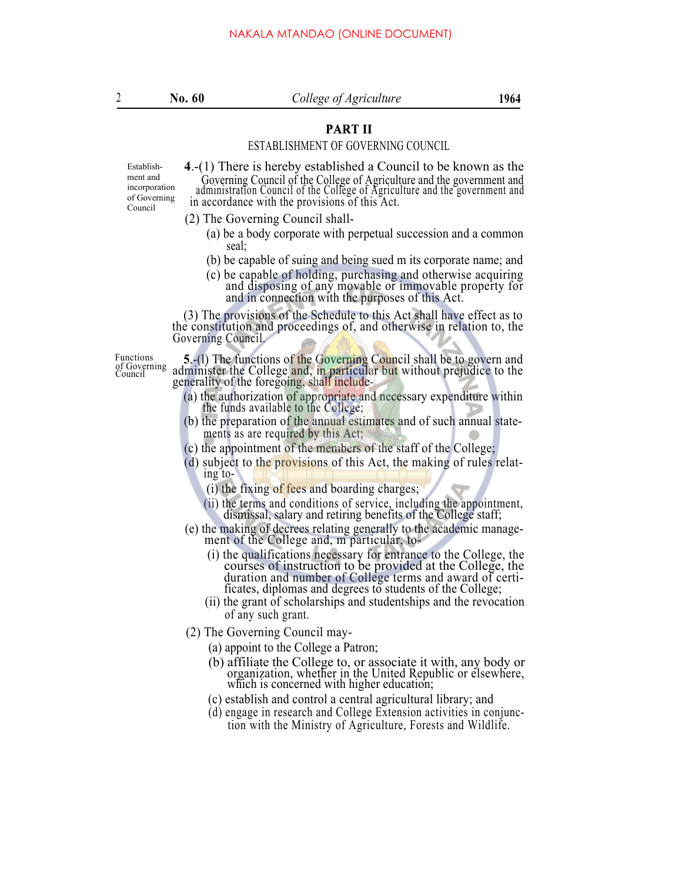# **PART II** PART II

# ESTABLISHMENT OF GOVERNING COUNCIL

Establishment and incorporation of Governing Council

**4**.-(1) There is hereby established a Council to be known as the Governing Council of the College of Agriculture and the government and administration Council of the College of Agriculture and the government and in accordance with the provisions of this Act.

- (2) The Governing Council shall-
	- (a) be a body corporate with perpetual succession and a common seal;
	- (b) be capable of suing and being sued m its corporate name; and
	- (c) be capable of holding, purchasing and otherwise acquiring and disposing of any movable or immovable property for and in connection with the purposes of this Act.

(3) The provisions of the Schedule to this Act shall have effect as to the constitution and proceedings of, and otherwise in relation to, the Governing Council.

of Governing Council

Functions **5**.-(1) The functions of the Governing Council shall be to govern and of Governing administer the College and, in particular but without prejudice to the generality of the foregoing, shall include-

- (a) the authorization of appropriate and necessary expenditure within the funds available to the College;
- (b) the preparation of the annual estimates and of such annual statements as are required by this Act;
- (c) the appointment of the members of the staff of the College;
- (d) subject to the provisions of this Act, the making of rules relat ing to-
	- (i) the fixing of fees and boarding charges;
	- (ii) the terms and conditions of service, including the appointment, dismissal, salary and retiring benefits of the College staff;
- (e) the making of decrees relating generally to the academic manage- ment of the College and, m particular, to-
	- (i) the qualifications necessary for entrance to the College, the courses of instruction to be provided at the College, the duration and number of College terms and award of certificates, diplomas and degrees to students of the College;
	- (ii) the grant of scholarships and studentships and the revocation of any such grant.
- (2) The Governing Council may-
	- (a) appoint to the College a Patron;
	- (b) affiliate the College to, or associate it with, any body or organization, whether in the United Republic or elsewhere, which is concerned with higher education;
	- (c) establish and control a central agricultural library; and
	- (d) engage in research and College Extension activities in conjunction with the Ministry of Agriculture, Forests and Wildlife.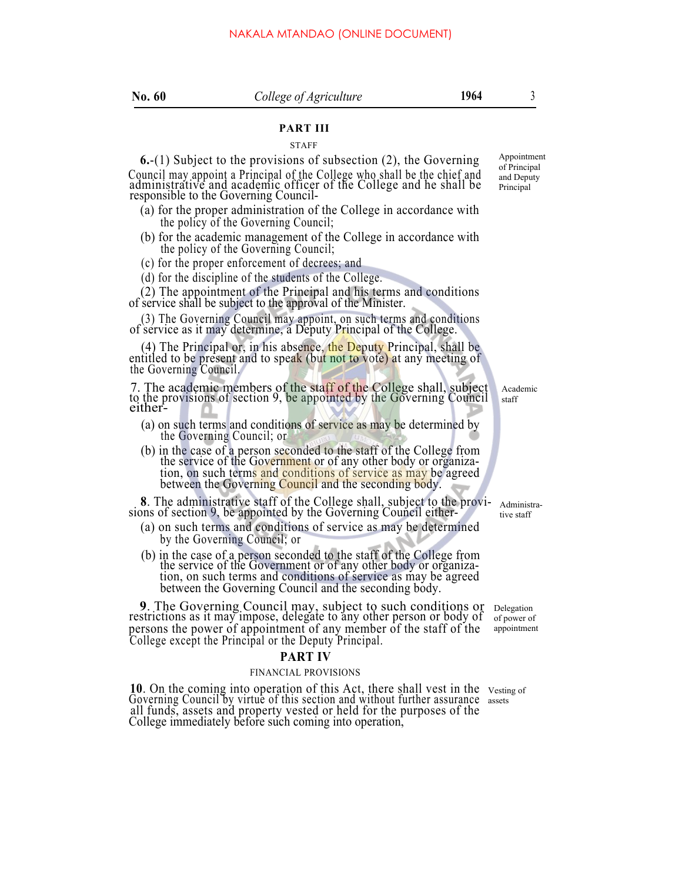## **PART III**

**STAFF** 

**6.**-(1) Subject to the provisions of subsection (2), the Governing Council may appoint a Principal of the College who shall be the chief and administrative and academic officer of the College and he shall be responsible to the Governing Council-

- (a) for the proper administration of the College in accordance with the policy of the Governing Council;
- (b) for the academic management of the College in accordance with the policy of the Governing Council;
- (c) for the proper enforcement of decrees; and

(d) for the discipline of the students of the College.

(2) The appointment of the Principal and his terms and conditions of service shall be subject to the approval of the Minister.

(3) The Governing Council may appoint, on such terms and conditions of service as it may determine, a Deputy Principal of the College.

(4) The Principal or, in his absence, the Deputy Principal, shall be entitled to be present and to speak (but not to vote) at any meeting of the Governing Council.

7. The academic members of the staff of the College shall, subject to the provisions of section 9, be appointed by the Governing Council either-

- (a) on such terms and conditions of service as may be determined by the Governing Council; or
- (b) in the case of a person seconded to the staff of the College from the service of the Government or of any other body or organization, on such terms and conditions of service as may be agreed between the Governing Council and the seconding body.

**<sup>8</sup>**. The administrative staff of the College shall, subject to the provi- sions of section 9, be appointed by the Governing Council either-

- (a) on such terms and conditions of service as may be determined by the Governing Council; or
- (b) in the case of a person seconded to the staff of the College from the service of the Government or of any other body or organization, on such terms and conditions of service as may be agreed between the Governing Council and the seconding body.

**9**. The Governing Council may, subject to such conditions or restrictions as it may impose, delegate to any other person or body of persons the power of appointment of any member of the staff of the College except the Principal or the Deputy Principal.

### **PART IV**

#### FINANCIAL PROVISIONS

**10**. On the coming into operation of this Act, there shall vest in the vesting of Governing Council by virtue of this section and without further assurance assets all funds, assets and property vested or held for the purposes of the College immediately before such coming into operation,

Appointment of Principal and Deputy Principal

Academic staff

Administrative staff

Delegation of power of appointment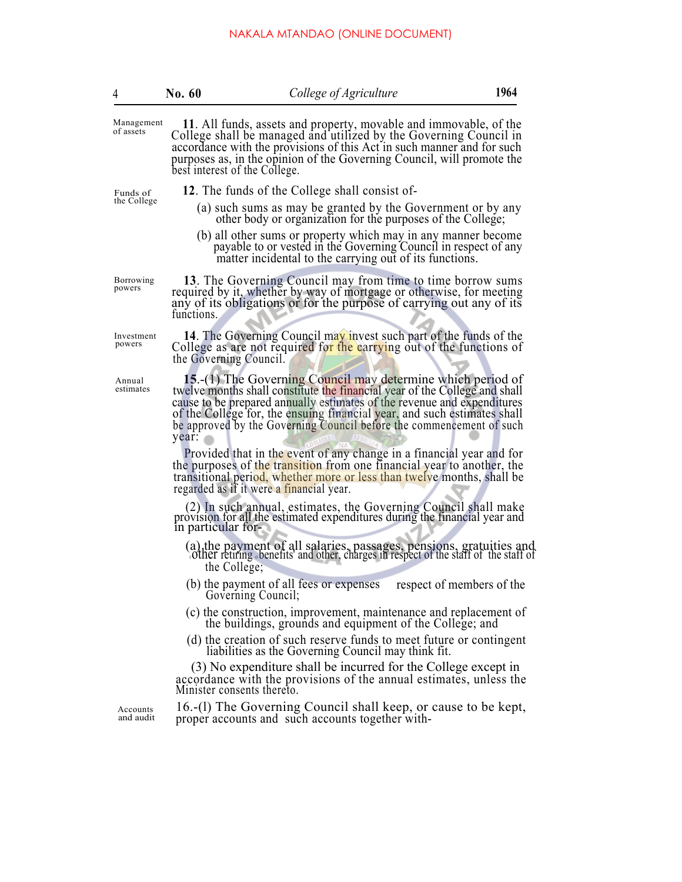# NAKALA MTANDAO (ONLINE DOCUMENT)

| 4                       | No. 60                        | College of Agriculture                                                                                                                                                                                                                                                                                                                                                                                                                                                                                                                                                                                                                                   |                           | 1964 |
|-------------------------|-------------------------------|----------------------------------------------------------------------------------------------------------------------------------------------------------------------------------------------------------------------------------------------------------------------------------------------------------------------------------------------------------------------------------------------------------------------------------------------------------------------------------------------------------------------------------------------------------------------------------------------------------------------------------------------------------|---------------------------|------|
| Management<br>of assets | best interest of the College. | 11. All funds, assets and property, movable and immovable, of the<br>College shall be managed and utilized by the Governing Council in<br>accordance with the provisions of this Act in such manner and for such<br>purposes as, in the opinion of the Governing Council, will promote the                                                                                                                                                                                                                                                                                                                                                               |                           |      |
| Funds of                |                               | 12. The funds of the College shall consist of-                                                                                                                                                                                                                                                                                                                                                                                                                                                                                                                                                                                                           |                           |      |
| the College             |                               | (a) such sums as may be granted by the Government or by any other body or organization for the purposes of the College;<br>(b) all other sums or property which may in any manner become<br>payable to or vested in the Governing Council in respect of any<br>matter incidental to the carrying out of its functions.                                                                                                                                                                                                                                                                                                                                   |                           |      |
| Borrowing<br>powers     | functions.                    | 13. The Governing Council may from time to time borrow sums<br>required by it, whether by way of mortgage or otherwise, for meeting<br>any of its obligations or for the purpose of carrying out any of its                                                                                                                                                                                                                                                                                                                                                                                                                                              |                           |      |
| Investment<br>powers    | the Governing Council.        | 14. The Governing Council may invest such part of the funds of the<br>College as are not required for the carrying out of the functions of                                                                                                                                                                                                                                                                                                                                                                                                                                                                                                               |                           |      |
| Annual<br>estimates     | year:                         | <b>15.</b> -(1) The Governing Council may determine which period of<br>twelve months shall constitute the financial year of the College and shall<br>cause to be prepared annually estimates of the revenue and expenditures<br>of the College for, the ensuing financial year, and such estimates shall<br>be approved by the Governing Council before the commencement of such<br>Provided that in the event of any change in a financial year and for<br>the purposes of the transition from one financial year to another, the<br>transitional period, whether more or less than twelve months, shall be<br>regarded as if it were a financial year. |                           |      |
|                         | in particular for-            | (2) In such annual, estimates, the Governing Council shall make<br>provision for all the estimated expenditures during the financial year and                                                                                                                                                                                                                                                                                                                                                                                                                                                                                                            |                           |      |
|                         | the College;                  | (a) the payment of all salaries, passages, pensions, gratuities and other retiring benefits and other, charges in respect of the staff of the staff of                                                                                                                                                                                                                                                                                                                                                                                                                                                                                                   |                           |      |
|                         |                               | (b) the payment of all fees or expenses<br>Governing Council;                                                                                                                                                                                                                                                                                                                                                                                                                                                                                                                                                                                            | respect of members of the |      |
|                         |                               | (c) the construction, improvement, maintenance and replacement of<br>the buildings, grounds and equipment of the College; and                                                                                                                                                                                                                                                                                                                                                                                                                                                                                                                            |                           |      |
|                         |                               | (d) the creation of such reserve funds to meet future or contingent<br>liabilities as the Governing Council may think fit.                                                                                                                                                                                                                                                                                                                                                                                                                                                                                                                               |                           |      |
|                         | Minister consents thereto.    | (3) No expenditure shall be incurred for the College except in<br>accordance with the provisions of the annual estimates, unless the                                                                                                                                                                                                                                                                                                                                                                                                                                                                                                                     |                           |      |
| Accounts<br>and audit   |                               | 16.-(1) The Governing Council shall keep, or cause to be kept,<br>proper accounts and such accounts together with-                                                                                                                                                                                                                                                                                                                                                                                                                                                                                                                                       |                           |      |
|                         |                               |                                                                                                                                                                                                                                                                                                                                                                                                                                                                                                                                                                                                                                                          |                           |      |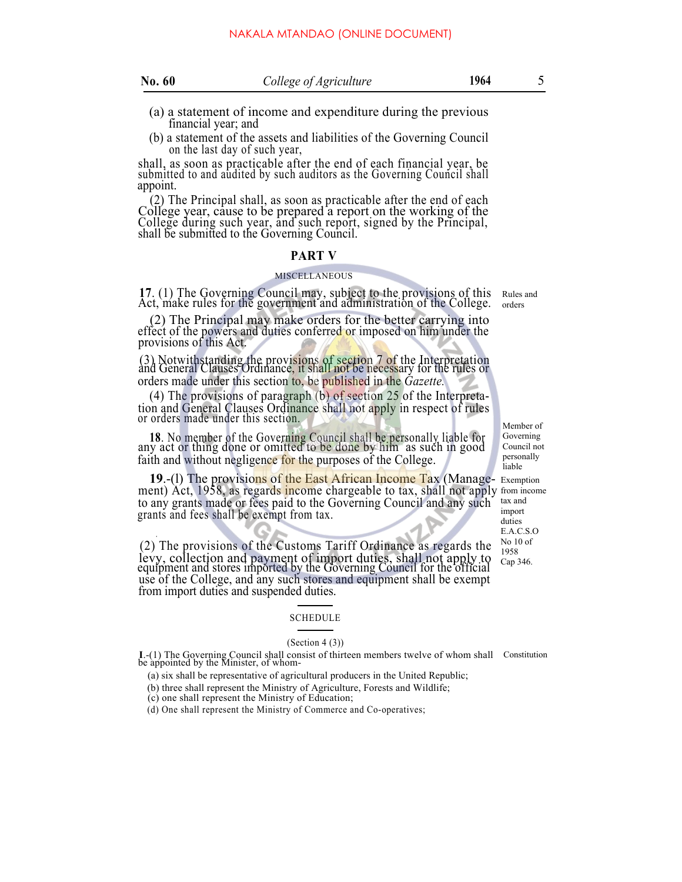|  | N | ı |
|--|---|---|
|  |   |   |

- 
- (a) a statement of income and expenditure during the previous financial year; and
- (b) a statement of the assets and liabilities of the Governing Council on the last day of such year,

shall, as soon as practicable after the end of each financial year, be submitted to and audited by such auditors as the Governing Council shall appoint.

(2) The Principal shall, as soon as practicable after the end of each College year, cause to be prepared a report on the working of the College during such year, and such report, signed by the Principal, shall be submitted to the Governing Council.

#### **PART V**

#### MISCELLANEOUS

**<sup>17</sup>**. (1) The Governing Council may, subject to the provisions of this Act, make rules for the government and administration of the College.

(2) The Principal may make orders for the better carrying into effect of the powers and duties conferred or imposed on him under the provisions of this Act.

(3) Notwithstanding the provisions of section 7 of the Interpretation and General Clauses Ordinance, it shall not be necessary for the rules or orders made under this section to, be published in the *Gazette.*

(4) The provisions of paragraph (b) of section 25 of the Interpretation and General Clauses Ordinance shall not apply in respect of rules or orders made under this section.

**18**. No member of the Governing Council shall be personally liable for any act or thing done or omitted to be done by him as such in good faith and without negligence for the purposes of the College.

**19.-(1)** The provisions of the East African Income Tax (Manage- Exemption ment) Act, 1958, as regards income chargeable to tax, shall not apply from incom to any grants made or fees paid to the Governing Council and any such grants and fees shall be exempt from tax. ment) Act, 1958, as regards income chargeable to tax, shall not apply from income

. (2) The provisions of the Customs Tariff Ordinance as regards the levy, collection and payment of import duties, shall not apply to equipment and stores imported by the Governing Council for the official use of the College, and any such stores and equipment shall be exempt from import duties and suspended duties.

#### SCHEDULE

#### $(Section 4 (3))$

**I**.-(1) The Governing Council shall consist of thirteen members twelve of whom shall Constitution be appointed by the Minister, of whom-

- (a) six shall be representative of agricultural producers in the United Republic;
- (b) three shall represent the Ministry of Agriculture, Forests and Wildlife;
- (c) one shall represent the Ministry of Education;
- (d) One shall represent the Ministry of Commerce and Co-operatives;

Rules and orders

Member of Governing Council not personally liable

tax and import duties E.A.C.S.O No 10 of 1958 Cap 346.